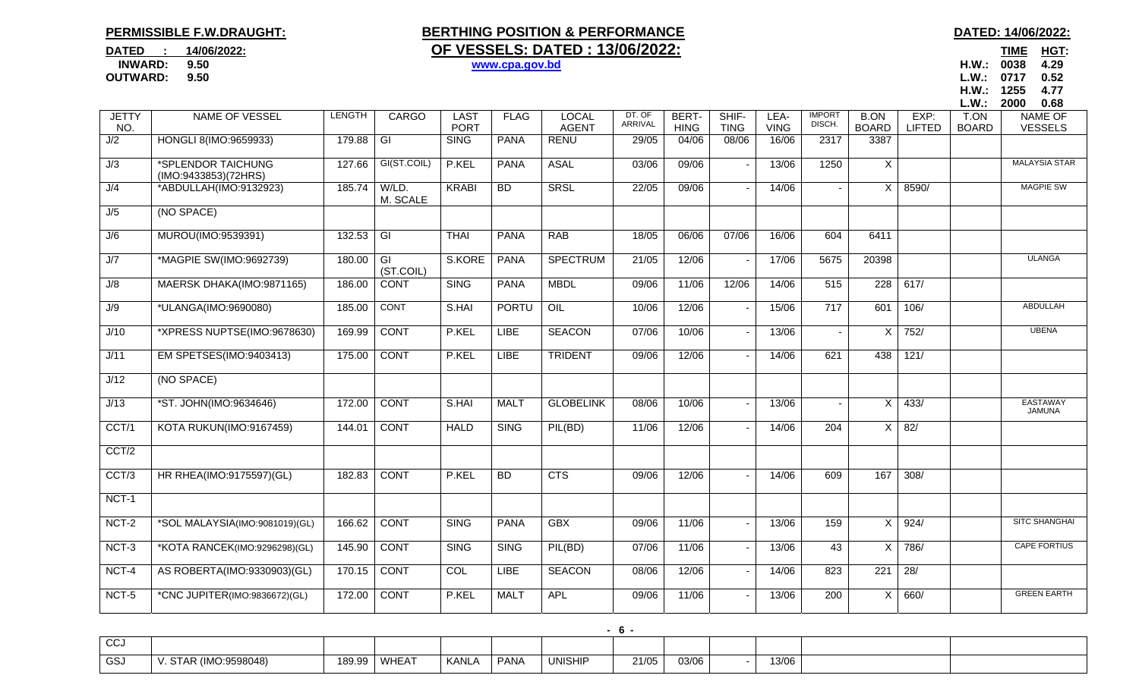## **PERMISSIBLE F.W.DRAUGHT:**

## **BERTHING POSITION & PERFORMANCE DATED: 14/06/2022: DATED** : 14/06/2022: **OF VESSELS: DATED : 13/06/2022:**

## **INWARD: 9.50 www.cpa.gov.bd H.W.: 0038 4.29**

TIME HGT: **OUTWARD: 9.50 L.W.: 0717 0.52 H.W.: 1255 4.77** 

|                                    |                                            |        |                   |                            |             |                              |                   |                      |                          |                     |                          |                             |                       | L.W.:                | 2000<br>0.68                     |
|------------------------------------|--------------------------------------------|--------|-------------------|----------------------------|-------------|------------------------------|-------------------|----------------------|--------------------------|---------------------|--------------------------|-----------------------------|-----------------------|----------------------|----------------------------------|
| <b>JETTY</b><br>NO.                | <b>NAME OF VESSEL</b>                      | LENGTH | <b>CARGO</b>      | <b>LAST</b><br><b>PORT</b> | <b>FLAG</b> | <b>LOCAL</b><br><b>AGENT</b> | DT. OF<br>ARRIVAL | BERT-<br><b>HING</b> | SHIF-<br><b>TING</b>     | LEA-<br><b>VING</b> | <b>IMPORT</b><br>DISCH.  | <b>B.ON</b><br><b>BOARD</b> | EXP:<br><b>LIFTED</b> | T.ON<br><b>BOARD</b> | <b>NAME OF</b><br><b>VESSELS</b> |
| J/2                                | HONGLI 8(IMO:9659933)                      | 179.88 | $\overline{G}$    | <b>SING</b>                | <b>PANA</b> | <b>RENU</b>                  | 29/05             | 04/06                | 08/06                    | 16/06               | 2317                     | 3387                        |                       |                      |                                  |
| J/3                                | *SPLENDOR TAICHUNG<br>(IMO:9433853)(72HRS) | 127.66 | GI(ST.COIL)       | P.KEL                      | <b>PANA</b> | <b>ASAL</b>                  | 03/06             | 09/06                | $\blacksquare$           | 13/06               | 1250                     | X                           |                       |                      | <b>MALAYSIA STAR</b>             |
| J/4                                | *ABDULLAH(IMO:9132923)                     | 185.74 | W/LD.<br>M. SCALE | <b>KRABI</b>               | <b>BD</b>   | <b>SRSL</b>                  | 22/05             | 09/06                |                          | 14/06               | $\overline{\phantom{a}}$ | X                           | 8590/                 |                      | <b>MAGPIE SW</b>                 |
| J/5                                | (NO SPACE)                                 |        |                   |                            |             |                              |                   |                      |                          |                     |                          |                             |                       |                      |                                  |
| J/6                                | MUROU(IMO:9539391)                         | 132.53 | $\overline{G}$    | <b>THAI</b>                | <b>PANA</b> | <b>RAB</b>                   | 18/05             | 06/06                | 07/06                    | 16/06               | 604                      | 6411                        |                       |                      |                                  |
| J/7                                | *MAGPIE SW(IMO:9692739)                    | 180.00 | GI<br>(ST.COIL)   | S.KORE                     | <b>PANA</b> | <b>SPECTRUM</b>              | 21/05             | 12/06                | $\overline{\phantom{a}}$ | 17/06               | 5675                     | 20398                       |                       |                      | <b>ULANGA</b>                    |
| $\overline{\mathsf{U}/\mathsf{8}}$ | MAERSK DHAKA(IMO:9871165)                  | 186.00 | <b>CONT</b>       | <b>SING</b>                | <b>PANA</b> | <b>MBDL</b>                  | 09/06             | 11/06                | 12/06                    | 14/06               | 515                      | 228                         | 617/                  |                      |                                  |
| J/9                                | *ULANGA(IMO:9690080)                       | 185.00 | <b>CONT</b>       | S.HAI                      | PORTU       | $\overline{OIL}$             | 10/06             | 12/06                | $\blacksquare$           | 15/06               | 717                      | 601                         | 106/                  |                      | ABDULLAH                         |
| J/10                               | *XPRESS NUPTSE(IMO:9678630)                | 169.99 | <b>CONT</b>       | P.KEL                      | <b>LIBE</b> | <b>SEACON</b>                | 07/06             | 10/06                |                          | 13/06               | $\blacksquare$           | $\mathsf{X}$                | 752/                  |                      | <b>UBENA</b>                     |
| J/11                               | EM SPETSES(IMO:9403413)                    | 175.00 | <b>CONT</b>       | P.KEL                      | <b>LIBE</b> | <b>TRIDENT</b>               | 09/06             | 12/06                |                          | 14/06               | 621                      | 438                         | $\frac{121}{2}$       |                      |                                  |
| J/12                               | (NO SPACE)                                 |        |                   |                            |             |                              |                   |                      |                          |                     |                          |                             |                       |                      |                                  |
| J/13                               | *ST. JOHN(IMO:9634646)                     | 172.00 | <b>CONT</b>       | S.HAI                      | <b>MALT</b> | <b>GLOBELINK</b>             | 08/06             | 10/06                |                          | 13/06               | $\blacksquare$           | X                           | 433/                  |                      | EASTAWAY<br><b>JAMUNA</b>        |
| CCT/1                              | KOTA RUKUN(IMO:9167459)                    | 144.01 | <b>CONT</b>       | <b>HALD</b>                | <b>SING</b> | PIL(BD)                      | 11/06             | 12/06                | $\sim$                   | 14/06               | 204                      | $\overline{X}$              | 82/                   |                      |                                  |
| CCT/2                              |                                            |        |                   |                            |             |                              |                   |                      |                          |                     |                          |                             |                       |                      |                                  |
| CCT/3                              | HR RHEA(IMO:9175597)(GL)                   | 182.83 | <b>CONT</b>       | P.KEL                      | <b>BD</b>   | <b>CTS</b>                   | 09/06             | 12/06                |                          | 14/06               | 609                      | 167                         | 308/                  |                      |                                  |
| NCT-1                              |                                            |        |                   |                            |             |                              |                   |                      |                          |                     |                          |                             |                       |                      |                                  |
| $NCT-2$                            | *SOL MALAYSIA(IMO:9081019)(GL)             | 166.62 | <b>CONT</b>       | <b>SING</b>                | <b>PANA</b> | <b>GBX</b>                   | 09/06             | 11/06                | $\overline{\phantom{a}}$ | 13/06               | 159                      | $\times$                    | 924/                  |                      | <b>SITC SHANGHAI</b>             |
| NCT-3                              | *KOTA RANCEK(IMO:9296298)(GL)              | 145.90 | <b>CONT</b>       | <b>SING</b>                | <b>SING</b> | PIL(BD)                      | 07/06             | 11/06                |                          | 13/06               | 43                       | X                           | 786/                  |                      | <b>CAPE FORTIUS</b>              |
| NCT-4                              | AS ROBERTA(IMO:9330903)(GL)                | 170.15 | <b>CONT</b>       | <b>COL</b>                 | <b>LIBE</b> | <b>SEACON</b>                | 08/06             | 12/06                | $\blacksquare$           | 14/06               | 823                      | 221                         | 28/                   |                      |                                  |
| NCT-5                              | *CNC JUPITER(IMO:9836672)(GL)              | 172.00 | <b>CONT</b>       | P.KEL                      | <b>MALT</b> | <b>APL</b>                   | 09/06             | 11/06                |                          | 13/06               | 200                      | X                           | 660/                  |                      | <b>GREEN EARTH</b>               |
|                                    |                                            |        |                   |                            |             |                              |                   |                      |                          |                     |                          |                             |                       |                      |                                  |

| $\sim$<br>ັບບ |                          |        |       |       |             |                |       |       |       |  |
|---------------|--------------------------|--------|-------|-------|-------------|----------------|-------|-------|-------|--|
| <b>GSJ</b>    | (IMO:9598048)<br>، ۱۸۱ ب | 189.99 | WHEAT | KANLA | <b>PANA</b> | <b>UNISHIP</b> | 21/05 | 03/06 | 13/06 |  |